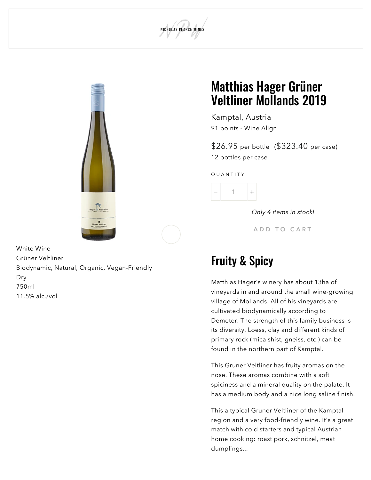



White Wine Grüner Veltliner Biodynamic, Natural, Organic, Vegan-Friendly Dry 750ml 11.5% alc./vol

#### Matthias Hager Grüner Veltliner Mollands 2019

Kamptal, Austria 91 [points](#page-1-0) - Wine Align

\$26.95 per bottle (\$323.40 per case) 12 bottles per case

Q U A N T I T Y



Only 4 items in stock!

A D D T O CART

#### Fruity & Spicy

Matthias Hager's winery has about 13ha of vineyards in and around the small wine-growing village of Mollands. All of his vineyards are cultivated biodynamically according to Demeter. The strength of this family business is its diversity. Loess, clay and different kinds of primary rock (mica shist, gneiss, etc.) can be found in the northern part of Kamptal.

This Gruner Veltliner has fruity aromas on the nose. These aromas combine with a soft spiciness and a mineral quality on the palate. It has a medium body and a nice long saline finish.

This a typical Gruner Veltliner of the Kamptal region and a very food-friendly wine. It's a great match with cold starters and typical Austrian home cooking: roast pork, schnitzel, meat dumplings...